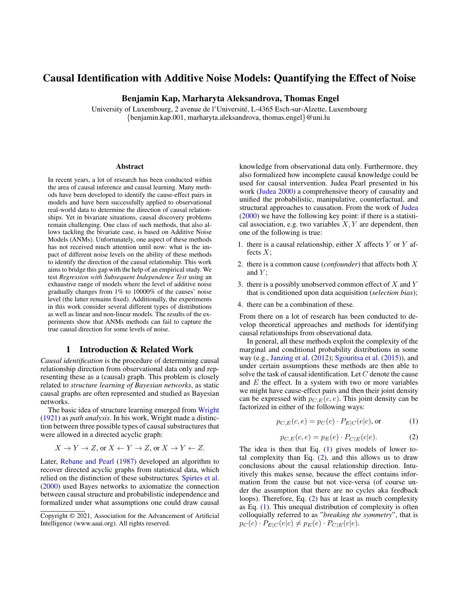## Causal Identification with Additive Noise Models: Quantifying the Effect of Noise

## Benjamin Kap, Marharyta Aleksandrova, Thomas Engel

University of Luxembourg, 2 avenue de l'Universite, L-4365 Esch-sur-Alzette, Luxembourg ´ {benjamin.kap.001, marharyta.aleksandrova, thomas.engel}@uni.lu

#### Abstract

In recent years, a lot of research has been conducted within the area of causal inference and causal learning. Many methods have been developed to identify the cause-effect pairs in models and have been successfully applied to observational real-world data to determine the direction of causal relationships. Yet in bivariate situations, causal discovery problems remain challenging. One class of such methods, that also allows tackling the bivariate case, is based on Additive Noise Models (ANMs). Unfortunately, one aspect of these methods has not received much attention until now: what is the impact of different noise levels on the ability of these methods to identify the direction of the causal relationship. This work aims to bridge this gap with the help of an empirical study. We test *Regression with Subsequent Independence Test* using an exhaustive range of models where the level of additive noise gradually changes from 1% to 10000% of the causes' noise level (the latter remains fixed). Additionally, the experiments in this work consider several different types of distributions as well as linear and non-linear models. The results of the experiments show that ANMs methods can fail to capture the true causal direction for some levels of noise.

## 1 Introduction & Related Work

*Causal identification* is the procedure of determining causal relationship direction from observational data only and representing these as a (causal) graph. This problem is closely related to *structure learning of Bayesian networks*, as static causal graphs are often represented and studied as Bayesian networks.

The basic idea of structure learning emerged from [Wright](#page-9-0) [\(1921\)](#page-9-0) as *path analysis*. In his work, Wright made a distinction between three possible types of causal substructures that were allowed in a directed acyclic graph:

$$
X \to Y \to Z
$$
, or  $X \leftarrow Y \to Z$ , or  $X \to Y \leftarrow Z$ .

Later, [Rebane and Pearl](#page-8-0) [\(1987\)](#page-8-0) developed an algorithm to recover directed acyclic graphs from statistical data, which relied on the distinction of these substructures. [Spirtes et al.](#page-9-1) [\(2000\)](#page-9-1) used Bayes networks to axiomatize the connection between causal structure and probabilistic independence and formalized under what assumptions one could draw causal

knowledge from observational data only. Furthermore, they also formalized how incomplete causal knowledge could be used for causal intervention. Judea Pearl presented in his work [\(Judea](#page-8-1) [2000\)](#page-8-1) a comprehensive theory of causality and unified the probabilistic, manipulative, counterfactual, and structural approaches to causation. From the work of [Judea](#page-8-1) [\(2000\)](#page-8-1) we have the following key point: if there is a statistical association, e.g. two variables  $X, Y$  are dependent, then one of the following is true:

- 1. there is a causal relationship, either  $X$  affects  $Y$  or  $Y$  affects  $X$ :
- 2. there is a common cause (*confounder*) that affects both X and  $Y$ ;
- 3. there is a possibly unobserved common effect of  $X$  and  $Y$ that is conditioned upon data acquisition (*selection bias*);
- 4. there can be a combination of these.

From there on a lot of research has been conducted to develop theoretical approaches and methods for identifying causal relationships from observational data.

In general, all these methods exploit the complexity of the marginal and conditional probability distributions in some way (e.g., [Janzing et al.](#page-8-2) [\(2012\)](#page-8-2); [Sgouritsa et al.](#page-9-2) [\(2015\)](#page-9-2)), and under certain assumptions these methods are then able to solve the task of causal identification. Let C denote the cause and  $E$  the effect. In a system with two or more variables we might have cause-effect pairs and then their joint density can be expressed with  $p_{C,E}(c, e)$ . This joint density can be factorized in either of the following ways:

<span id="page-0-0"></span>
$$
p_{C,E}(c,e) = p_C(c) \cdot P_{E|C}(e|c), \text{or}
$$
 (1)

<span id="page-0-1"></span>
$$
p_{C,E}(c,e) = p_E(e) \cdot P_{C|E}(c|e). \tag{2}
$$

The idea is then that Eq. [\(1\)](#page-0-0) gives models of lower total complexity than Eq.  $(2)$ , and this allows us to draw conclusions about the causal relationship direction. Intuitively this makes sense, because the effect contains information from the cause but not vice-versa (of course under the assumption that there are no cycles aka feedback loops). Therefore, Eq. [\(2\)](#page-0-1) has at least as much complexity as Eq. [\(1\)](#page-0-0). This unequal distribution of complexity is often colloquially referred to as "*breaking the symmetry*", that is  $p_C(c) \cdot P_{E|C}(e|c) \neq p_E(e) \cdot P_{C|E}(c|e).$ 

Copyright © 2021, Association for the Advancement of Artificial Intelligence (www.aaai.org). All rights reserved.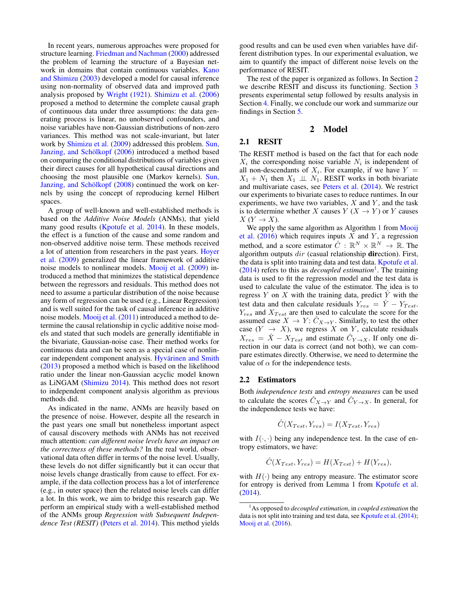In recent years, numerous approaches were proposed for structure learning. [Friedman and Nachman](#page-8-3) [\(2000\)](#page-8-3) addressed the problem of learning the structure of a Bayesian network in domains that contain continuous variables. [Kano](#page-8-4) [and Shimizu](#page-8-4) [\(2003\)](#page-8-4) developed a model for causal inference using non-normality of observed data and improved path analysis proposed by [Wright](#page-9-0) [\(1921\)](#page-9-0). [Shimizu et al.](#page-9-3) [\(2006\)](#page-9-3) proposed a method to determine the complete causal graph of continuous data under three assumptions: the data generating process is linear, no unobserved confounders, and noise variables have non-Gaussian distributions of non-zero variances. This method was not scale-invariant, but later work by [Shimizu et al.](#page-9-4) [\(2009\)](#page-9-4) addressed this problem. [Sun,](#page-9-5) Janzing, and Schölkopf [\(2006\)](#page-9-5) introduced a method based on comparing the conditional distributions of variables given their direct causes for all hypothetical causal directions and choosing the most plausible one (Markov kernels). [Sun,](#page-9-6) Janzing, and Schölkopf [\(2008\)](#page-9-6) continued the work on kernels by using the concept of reproducing kernel Hilbert spaces.

A group of well-known and well-established methods is based on the *Additive Noise Models* (ANMs), that yield many good results [\(Kpotufe et al.](#page-8-5) [2014\)](#page-8-5). In these models, the effect is a function of the cause and some random and non-observed additive noise term. These methods received a lot of attention from researchers in the past years. [Hoyer](#page-8-6) [et al.](#page-8-6) [\(2009\)](#page-8-6) generalized the linear framework of additive noise models to nonlinear models. [Mooij et al.](#page-8-7) [\(2009\)](#page-8-7) introduced a method that minimizes the statistical dependence between the regressors and residuals. This method does not need to assume a particular distribution of the noise because any form of regression can be used (e.g., Linear Regression) and is well suited for the task of causal inference in additive noise models. [Mooij et al.](#page-8-8) [\(2011\)](#page-8-8) introduced a method to determine the causal relationship in cyclic additive noise models and stated that such models are generally identifiable in the bivariate, Gaussian-noise case. Their method works for continuous data and can be seen as a special case of nonlinear independent component analysis. Hyvärinen and Smith [\(2013\)](#page-8-9) proposed a method which is based on the likelihood ratio under the linear non-Gaussian acyclic model known as LiNGAM [\(Shimizu](#page-9-7) [2014\)](#page-9-7). This method does not resort to independent component analysis algorithm as previous methods did.

As indicated in the name, ANMs are heavily based on the presence of noise. However, despite all the research in the past years one small but nonetheless important aspect of causal discovery methods with ANMs has not received much attention: *can different noise levels have an impact on the correctness of these methods?* In the real world, observational data often differ in terms of the noise level. Usually, these levels do not differ significantly but it can occur that noise levels change drastically from cause to effect. For example, if the data collection process has a lot of interference (e.g., in outer space) then the related noise levels can differ a lot. In this work, we aim to bridge this research gap. We perform an empirical study with a well-established method of the ANMs group *Regression with Subsequent Independence Test (RESIT)* [\(Peters et al.](#page-8-10) [2014\)](#page-8-10). This method yields

good results and can be used even when variables have different distribution types. In our experimental evaluation, we aim to quantify the impact of different noise levels on the performance of RESIT.

The rest of the paper is organized as follows. In Section [2](#page-1-0) we describe RESIT and discuss its functioning. Section [3](#page-3-0) presents experimental setup followed by results analysis in Section [4.](#page-3-1) Finally, we conclude our work and summarize our findings in Section [5.](#page-7-0)

## 2 Model

## <span id="page-1-2"></span><span id="page-1-0"></span>2.1 RESIT

The RESIT method is based on the fact that for each node  $X_i$  the corresponding noise variable  $N_i$  is independent of all non-descendants of  $X_i$ . For example, if we have  $Y =$  $X_1 + N_1$  then  $X_1 \perp \perp N_1$ . RESIT works in both bivariate and multivariate cases, see [Peters et al.](#page-8-10) [\(2014\)](#page-8-10). We restrict our experiments to bivariate cases to reduce runtimes. In our experiments, we have two variables,  $X$  and  $Y$ , and the task is to determine whether X causes  $Y(X \to Y)$  or Y causes  $X(Y \rightarrow X)$ .

We apply the same algorithm as Algorithm [1](#page-2-0) from [Mooij](#page-8-11) [et al.](#page-8-11) [\(2016\)](#page-8-11) which requires inputs  $\overline{X}$  and  $\overline{Y}$ , a regression method, and a score estimator  $\hat{C}$ :  $\mathbb{R}^N \times \mathbb{R}^N \to \mathbb{R}$ . The algorithm outputs  $dir$  (casual relationship direction). First, the data is split into training data and test data. [Kpotufe et al.](#page-8-5) [\(2014\)](#page-8-5) refers to this as *decoupled estimation*[1](#page-1-1) . The training data is used to fit the regression model and the test data is used to calculate the value of the estimator. The idea is to regress  $Y$  on  $X$  with the training data, predict  $Y$  with the test data and then calculate residuals  $Y_{res} = \hat{Y} - Y_{Test}$ .  $Y_{res}$  and  $X_{Test}$  are then used to calculate the score for the assumed case  $X \to Y: \hat{C}_{X \to Y}$ . Similarly, to test the other case  $(Y \rightarrow X)$ , we regress X on Y, calculate residuals  $X_{res} = \hat{X} - X_{Test}$  and estimate  $\hat{C}_{Y \to X}$ . If only one direction in our data is correct (and not both), we can compare estimates directly. Otherwise, we need to determine the value of  $\alpha$  for the independence tests.

#### <span id="page-1-3"></span>2.2 Estimators

Both *independence tests* and *entropy measures* can be used to calculate the scores  $\hat{C}_{X\to Y}$  and  $\hat{C}_{Y\to X}$ . In general, for the independence tests we have:

$$
\hat{C}(X_{Test}, Y_{res}) = I(X_{Test}, Y_{res})
$$

with  $I(\cdot, \cdot)$  being any independence test. In the case of entropy estimators, we have:

$$
\hat{C}(X_{Test}, Y_{res}) = H(X_{Test}) + H(Y_{res}),
$$

with  $H(\cdot)$  being any entropy measure. The estimator score for entropy is derived from Lemma 1 from [Kpotufe et al.](#page-8-5) [\(2014\)](#page-8-5).

<span id="page-1-1"></span><sup>1</sup>As opposed to *decoupled estimation*, in *coupled estimation* the data is not split into training and test data, see [Kpotufe et al.](#page-8-5) [\(2014\)](#page-8-5); [Mooij et al.](#page-8-11) [\(2016\)](#page-8-11).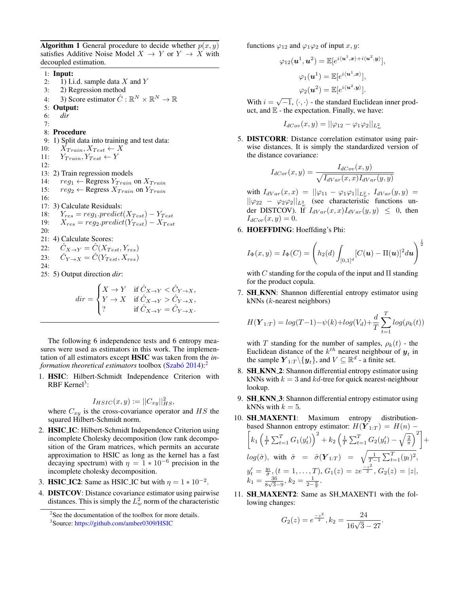<span id="page-2-0"></span>Algorithm 1 General procedure to decide whether  $p(x, y)$ satisfies Additive Noise Model  $X \to Y$  or  $Y \to X$  with decoupled estimation.

1: Input:

- 2: 1) I.i.d. sample data  $X$  and  $Y$
- 3: 2) Regression method
- 4: 3) Score estimator  $\hat{C} : \mathbb{R}^N \times \mathbb{R}^N \to \mathbb{R}$
- 5: Output:
- 6: *dir*

# 7:

8: Procedure 9: 1) Split data into training and test data: 10:  $X_{Train}, X_{Test} \leftarrow X$ 11:  $Y_{Train}, Y_{Test} \leftarrow Y$ 12: 13: 2) Train regression models 14:  $reg_1 \leftarrow \text{Regress } Y_{Train}$  on  $X_{Train}$ 15:  $reg_2 \leftarrow \text{Regression } X_{Train}$  on  $Y_{Train}$ 16: 17: 3) Calculate Residuals: 18:  $Y_{res} = reg_1.predict(X_{Test}) - Y_{Test}$ 19:  $X_{res} = reg_2.predict(Y_{Test}) - X_{Test}$ 20: 21: 4) Calculate Scores: 22:  $\hat{C}_{X\rightarrow Y} = \hat{C}(X_{Test}, Y_{res})$ 23:  $\hat{C}_{Y\to X} = \hat{C}(Y_{Test}, X_{res})$ 24: 25: 5) Output direction *dir*:

$$
dir = \begin{cases} X \to Y & \text{if } \hat{C}_{X \to Y} < \hat{C}_{Y \to X}, \\ Y \to X & \text{if } \hat{C}_{X \to Y} > \hat{C}_{Y \to X}, \\ ? & \text{if } \hat{C}_{X \to Y} = \hat{C}_{Y \to X}. \end{cases}
$$

The following 6 independence tests and 6 entropy measures were used as estimators in this work. The implementation of all estimators except HSIC was taken from the *information theoretical estimators* toolbox (Szabó [2014\)](#page-9-8):<sup>[2](#page-2-1)</sup>

1. HSIC: Hilbert-Schmidt Independence Criterion with RBF Kernel<sup>[3](#page-2-2)</sup>:

$$
I_{HSIC}(x,y) := ||C_{xy}||_{HS}^2,
$$

where  $C_{xy}$  is the cross-covariance operator and  $HS$  the squared Hilbert-Schmidt norm.

- 2. **HSIC\_IC**: Hilbert-Schmidt Independence Criterion using incomplete Cholesky decomposition (low rank decomposition of the Gram matrices, which permits an accurate approximation to HSIC as long as the kernel has a fast decaying spectrum) with  $\eta = 1 * 10^{-6}$  precision in the incomplete cholesky decomposition.
- 3. HSIC\_IC2: Same as HSIC\_IC but with  $\eta = 1 * 10^{-2}$ .
- 4. DISTCOV: Distance covariance estimator using pairwise distances. This is simply the  $L^2_w$  norm of the characteristic

functions  $\varphi_{12}$  and  $\varphi_1\varphi_2$  of input x, y:

$$
\varphi_{12}(\mathbf{u}^1, \mathbf{u}^2) = \mathbb{E}[e^{i\langle \mathbf{u}^1, \mathbf{x}\rangle + i\langle \mathbf{u}^2, \mathbf{y}\rangle}],
$$

$$
\varphi_1(\mathbf{u}^1) = \mathbb{E}[e^{i\langle \mathbf{u}^1, \mathbf{x}\rangle}],
$$

$$
\varphi_2(\mathbf{u}^2) = \mathbb{E}[e^{i\langle \mathbf{u}^2, \mathbf{y}\rangle}].
$$

With  $i = \sqrt{-1}, \langle \cdot, \cdot \rangle$  - the standard Euclidean inner product, and  $E$  - the expectation. Finally, we have:

$$
I_{dCov}(x,y) = ||\varphi_{12} - \varphi_1 \varphi_2||_{L^2_w}
$$

5. DISTCORR: Distance correlation estimator using pairwise distances. It is simply the standardized version of the distance covariance:

$$
I_{dCor}(x,y) = \frac{I_{dCor}(x,y)}{\sqrt{I_{dVar}(x,x)I_{dVar}(y,y)}}
$$

with  $I_{dVar}(x, x) = ||\varphi_{11} - \varphi_1 \varphi_1||_{L^2_w}$ ,  $I_{dVar}(y, y) =$  $\|\varphi_{22} - \varphi_{2}\varphi_{2}\|_{L^{2}_{w}}$  (see characteristic functions under DISTCOV). If  $I_{dVar}(x, x)I_{dVar}(y, y) \leq 0$ , then  $I_{dCor}(x, y) = 0.$ 

6. HOEFFDING: Hoeffding's Phi:

$$
I_{\Phi}(x,y) = I_{\Phi}(C) = \left(h_2(d) \int_{[0,1]^d} [C(\boldsymbol{u}) - \Pi(\boldsymbol{u})]^2 d\boldsymbol{u}\right)^{\frac{1}{2}}
$$

with C standing for the copula of the input and  $\Pi$  standing for the product copula.

7. **SH\_KNN**: Shannon differential entropy estimator using kNNs (k-nearest neighbors)

$$
H(\boldsymbol{Y}_{1:T}) = log(T-1) - \psi(k) + log(V_d) + \frac{d}{T} \sum_{t=1}^{T} log(\rho_k(t))
$$

with T standing for the number of samples,  $\rho_k(t)$  - the Euclidean distance of the  $k^{th}$  nearest neighbour of  $y_t$  in the sample  $\boldsymbol{Y}_{1:T} \backslash \{ \boldsymbol{y}_t \}$ , and  $V \subseteq \mathbb{R}^d$  - a finite set.

- 8. SH\_KNN\_2: Shannon differential entropy estimator using kNNs with  $k = 3$  and kd-tree for quick nearest-neighbour lookup.
- 9. **SH\_KNN\_3**: Shannon differential entropy estimator using kNNs with  $k = 5$ .

10. **SH.MAXENT1**: Maximum entropy distribution-based Shannon entropy estimator: 
$$
H(\boldsymbol{Y}_{1:T}) = H(n) - \left[k_1\left(\frac{1}{T}\sum_{t=1}^T G_1(y'_t)\right)^2 + k_2\left(\frac{1}{T}\sum_{t=1}^T G_2(y'_t) - \sqrt{\frac{2}{\pi}}\right)^2\right] + log(\hat{\sigma}),
$$
 with  $\hat{\sigma} = \hat{\sigma}(\boldsymbol{Y}_{1:T}) = \sqrt{\frac{1}{T-1}\sum_{t=1}^T (y_t)^2},$  $y'_t = \frac{y_t}{\hat{\sigma}}, (t = 1, \ldots, T), G_1(z) = ze^{\frac{-z^2}{2}}, G_2(z) = |z|,$  $k_1 = \frac{36}{8\sqrt{3}-9}, k_2 = \frac{1}{2-\frac{6}{\pi}}.$ 

11. **SH\_MAXENT2**: Same as SH\_MAXENT1 with the following changes:

$$
G_2(z) = e^{\frac{-z^2}{2}}, k_2 = \frac{24}{16\sqrt{3} - 27}.
$$

<span id="page-2-1"></span><sup>&</sup>lt;sup>2</sup>See the documentation of the toolbox for more details.

<span id="page-2-2"></span><sup>3</sup> Source: <https://github.com/amber0309/HSIC>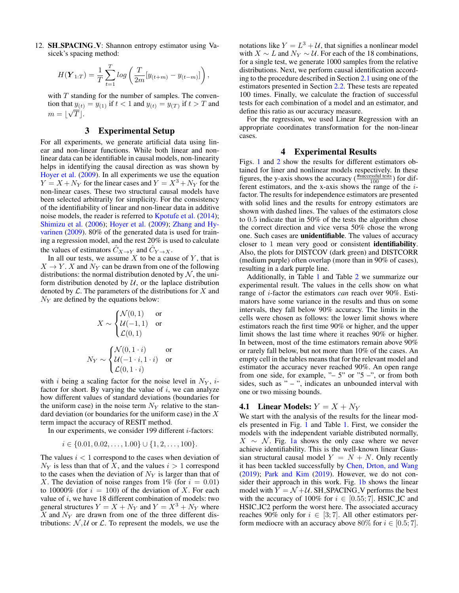12. SH\_SPACING\_V: Shannon entropy estimator using Vasicek's spacing method:

$$
H(\boldsymbol{Y}_{1:T}) = \frac{1}{T} \sum_{t=1}^{T} log \left( \frac{T}{2m} [y_{(t+m)} - y_{(t-m)}] \right),
$$

with  $T$  standing for the number of samples. The convention that  $y_{(t)} = y_{(1)}$  if  $t < 1$  and  $y_{(t)} = y_{(T)}$  if  $t > T$  and  $m = \lfloor \sqrt{T} \rfloor.$ 

### 3 Experimental Setup

<span id="page-3-0"></span>For all experiments, we generate artificial data using linear and non-linear functions. While both linear and nonlinear data can be identifiable in causal models, non-linearity helps in identifying the causal direction as was shown by [Hoyer et al.](#page-8-6) [\(2009\)](#page-8-6). In all experiments we use the equation  $Y = X + N<sub>Y</sub>$  for the linear cases and  $Y = X<sup>3</sup> + N<sub>Y</sub>$  for the non-linear cases. These two structural causal models have been selected arbitrarily for simplicity. For the consistency of the identifiability of linear and non-linear data in additive noise models, the reader is referred to [Kpotufe et al.](#page-8-5) [\(2014\)](#page-8-5); [Shimizu et al.](#page-9-3) [\(2006\)](#page-9-3); [Hoyer et al.](#page-8-6) [\(2009\)](#page-8-6); [Zhang and Hy](#page-9-9)[varinen](#page-9-9) [\(2009\)](#page-9-9). 80% of the generated data is used for training a regression model, and the rest 20% is used to calculate the values of estimators  $\hat{C}_{X\to Y}$  and  $\hat{C}_{Y\to X}$ .

In all our tests, we assume  $X$  to be a cause of  $Y$ , that is  $X \to Y$ . X and  $N_Y$  can be drawn from one of the following distributions: the normal distribution denoted by  $N$ , the uniform distribution denoted by  $U$ , or the laplace distribution denoted by  $\mathcal L$ . The parameters of the distributions for  $X$  and  $N_Y$  are defined by the equations below:

$$
X \sim \begin{cases} \mathcal{N}(0,1) & \text{or} \\ \mathcal{U}(-1,1) & \text{or} \\ \mathcal{L}(0,1) & \\ N_Y \sim \begin{cases} \mathcal{N}(0,1\cdot i) & \text{or} \\ \mathcal{U}(-1\cdot i,1\cdot i) & \text{or} \\ \mathcal{L}(0,1\cdot i) & \end{cases}
$$

with i being a scaling factor for the noise level in  $N_Y$ , ifactor for short. By varying the value of  $i$ , we can analyze how different values of standard deviations (boundaries for the uniform case) in the noise term  $N_Y$  relative to the standard deviation (or boundaries for the uniform case) in the  $X$ term impact the accuracy of RESIT method.

In our experiments, we consider 199 different  $i$ -factors:

$$
i \in \{0.01, 0.02, \dots, 1.00\} \cup \{1, 2, \dots, 100\}.
$$

The values  $i < 1$  correspond to the cases when deviation of  $N_Y$  is less than that of X, and the values  $i > 1$  correspond to the cases when the deviation of  $N_Y$  is larger than that of X. The deviation of noise ranges from 1% (for  $i = 0.01$ ) to 10000% (for  $i = 100$ ) of the deviation of X. For each value of  $i$ , we have 18 different combination of models: two general structures  $Y = X + N_Y$  and  $Y = X^3 + N_Y$  where  $\overline{X}$  and  $N_Y$  are drawn from one of the three different distributions:  $N, U$  or  $L$ . To represent the models, we use the

notations like  $Y = L^3 + U$ , that signifies a nonlinear model with  $X \sim L$  and  $N_Y \sim U$ . For each of the 18 combinations, for a single test, we generate 1000 samples from the relative distributions. Next, we perform causal identification according to the procedure described in Section [2.1](#page-1-2) using one of the estimators presented in Section [2.2.](#page-1-3) These tests are repeated 100 times. Finally, we calculate the fraction of successful tests for each combination of a model and an estimator, and define this ratio as our accuracy measure.

For the regression, we used Linear Regression with an appropriate coordinates transformation for the non-linear cases.

### 4 Experimental Results

<span id="page-3-1"></span>Figs. [1](#page-4-0) and [2](#page-6-0) show the results for different estimators obtained for liner and nonlinear models respectively. In these figures, the y-axis shows the accuracy  $(\frac{\text{#successful tests}}{100})$  for different estimators, and the x-axis shows the range of the ifactor. The results for independence estimators are presented with solid lines and the results for entropy estimators are shown with dashed lines. The values of the estimators close to 0.5 indicate that in 50% of the tests the algorithm chose the correct direction and vice versa 50% chose the wrong one. Such cases are unidentifiable. The values of accuracy closer to 1 mean very good or consistent identifiability. Also, the plots for DISTCOV (dark green) and DISTCORR (medium purple) often overlap (more than in 90% of cases), resulting in a dark purple line.

Additionally, in Table [1](#page-4-1) and Table [2](#page-6-1) we summarize our experimental result. The values in the cells show on what range of i-factor the estimators *can* reach over 90%. Estimators have some variance in the results and thus on some intervals, they fall below 90% accuracy. The limits in the cells were chosen as follows: the lower limit shows where estimators reach the first time 90% or higher, and the upper limit shows the last time where it reaches 90% or higher. In between, most of the time estimators remain above 90% or rarely fall below, but not more than 10% of the cases. An empty cell in the tables means that for the relevant model and estimator the accuracy never reached 90%. An open range from one side, for example,  $-5$ " or  $-5$ ", or from both sides, such as " $-$ ", indicates an unbounded interval with one or two missing bounds.

## **4.1** Linear Models:  $Y = X + N_Y$

We start with the analysis of the results for the linear models presented in Fig. [1](#page-4-0) and Table [1.](#page-4-1) First, we consider the models with the independent variable distributed normally,  $X \sim \mathcal{N}$ . Fig. [1a](#page-4-0) shows the only case where we never achieve identifiability. This is the well-known linear Gaussian structural causal model  $Y = N + N$ . Only recently it has been tackled successfully by [Chen, Drton, and Wang](#page-8-12) [\(2019\)](#page-8-12); [Park and Kim](#page-8-13) [\(2019\)](#page-8-13). However, we do not consider their approach in this work. Fig. [1b](#page-4-0) shows the linear model with  $Y = \mathcal{N} + \mathcal{U}$ . SH\_SPACING\_V performs the best with the accuracy of 100% for  $i \in [0.55; 7]$ . HSIC\_IC and HSIC IC2 perform the worst here. The associated accuracy reaches 90% only for  $i \in [3, 7]$ . All other estimators perform mediocre with an accuracy above 80% for  $i \in [0.5; 7]$ .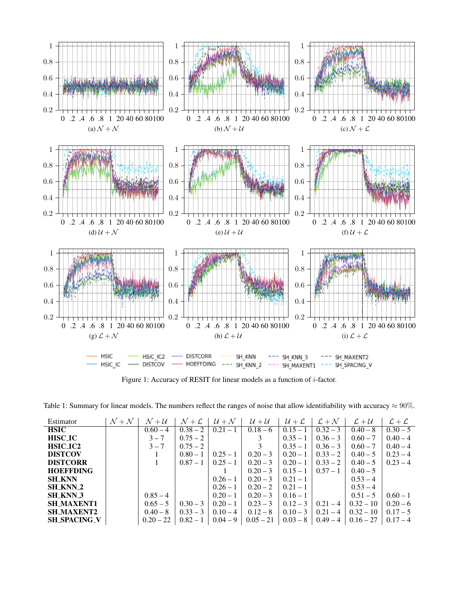<span id="page-4-0"></span>

Figure 1: Accuracy of RESIT for linear models as a function of *i*-factor.

<span id="page-4-1"></span>Table 1: Summary for linear models. The numbers reflect the ranges of noise that allow identifiability with accuracy  $\approx 90\%$ .

| Estimator           | $\mathcal{N}+\mathcal{N}$ | $\mathcal{N}+\mathcal{U}$ | $\mathcal{N}+\mathcal{L}$ | $\mathcal{U} + \mathcal{N}$ | $\mathcal{U} + \mathcal{U}$ | $U + L$    | $\mathcal{L} + \mathcal{N}$ | $\mathcal{L} + \mathcal{U}$ | $\mathcal{L} + \mathcal{L}$ |
|---------------------|---------------------------|---------------------------|---------------------------|-----------------------------|-----------------------------|------------|-----------------------------|-----------------------------|-----------------------------|
| <b>HSIC</b>         |                           | $0.60 - 4$                | $0.38 - 2$                | $0.21 -$                    | $0.18 - 6$                  | $0.15 - 1$ | $0.32 - 3$                  | $0.40 - 8$                  | $0.30 - 5$                  |
| <b>HISC_IC</b>      |                           | $3 - 7$                   | $0.75 - 2$                |                             |                             | $0.35 - 1$ | $0.36 - 3$                  | $0.60 - 7$                  | $0.40 - 4$                  |
| <b>HSIC_IC2</b>     |                           | $3 - 7$                   | $0.75 - 2$                |                             |                             | $0.35 - 1$ | $0.36 - 3$                  | $0.60 - 7$                  | $0.40 - 4$                  |
| <b>DISTCOV</b>      |                           |                           | $0.80 - 1$                | $0.25 - 1$                  | $0.20 - 3$                  | $0.20 - 1$ | $0.33 - 2$                  | $0.40 - 5$                  | $0.23 - 4$                  |
| <b>DISTCORR</b>     |                           |                           | $0.87 - 1$                | $0.25 - 1$                  | $0.20 - 3$                  | $0.20 - 1$ | $0.33 - 2$                  | $0.40 - 5$                  | $0.23 - 4$                  |
| <b>HOEFFDING</b>    |                           |                           |                           |                             | $0.20 - 3$                  | $0.15 - 1$ | $0.57 - 1$                  | $0.40 - 5$                  |                             |
| <b>SH KNN</b>       |                           |                           |                           | $0.26 - 1$                  | $0.20 - 3$                  | $0.21 - 1$ |                             | $0.53 - 4$                  |                             |
| <b>SH KNN 2</b>     |                           |                           |                           | $0.26 - 1$                  | $0.20 - 2$                  | $0.21 - 1$ |                             | $0.53 - 4$                  |                             |
| <b>SH_KNN_3</b>     |                           | $0.85 - 4$                |                           | $0.20 - 1$                  | $0.20 - 3$                  | $0.16 - 1$ |                             | $0.51 - 5$                  | $0.60 - 1$                  |
| <b>SH_MAXENT1</b>   |                           | $0.65 - 5$                | $0.30 - 3$                | $0.20 - 1$                  | $0.23 - 3$                  | $0.12 - 3$ | $0.21 - 4$                  | $0.32 - 10$                 | $0.20 - 6$                  |
| <b>SH_MAXENT2</b>   |                           | $0.40 - 8$                | $0.33 - 3$                | $0.10 - 4$                  | $0.12 - 8$                  | $0.10 - 3$ | $0.21 - 4$                  | $0.32 - 10$                 | $0.17 - 5$                  |
| <b>SH_SPACING_V</b> |                           | $0.20 - 22$               | $0.82 - 1$                | $0.04 - 9$                  | $0.05 - 21$                 | $0.03 - 8$ | $0.49 - 4$                  | $0.16 - 27$                 | $0.17 - 4$                  |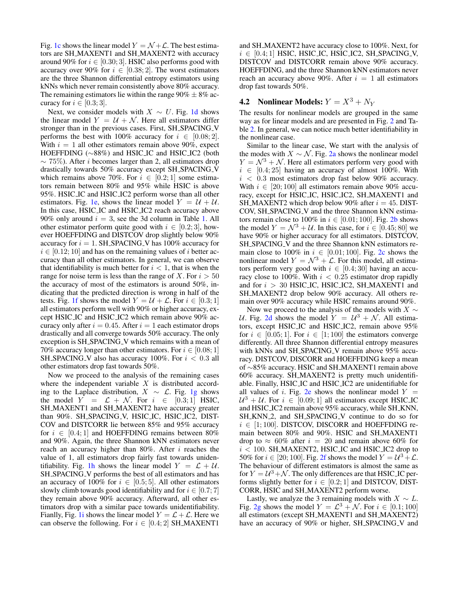Fig. [1c](#page-4-0) shows the linear model  $Y = \mathcal{N} + \mathcal{L}$ . The best estimators are SH MAXENT1 and SH MAXENT2 with accuracy around 90% for  $i \in [0.30; 3]$ . HSIC also performs good with accuracy over 90% for  $i \in [0.38; 2]$ . The worst estimators are the three Shannon differential entropy estimators using kNNs which never remain consistently above 80% accuracy. The remaining estimators lie within the range  $90\% \pm 8\%$  accuracy for  $i \in [0.3; 3]$ .

Next, we consider models with  $X \sim U$ . Fig. [1d](#page-4-0) shows the linear model  $Y = U + \mathcal{N}$ . Here all estimators differ stronger than in the previous cases. First, SH\_SPACING\_V performs the best with 100% accuracy for  $i \in [0.08; 2]$ . With  $i = 1$  all other estimators remain above 90%, expect HOEFFDING (~88%) and HSIC\_IC and HSIC\_IC2 (both  $\sim$  75%). After *i* becomes larger than 2, all estimators drop drastically towards 50% accuracy except SH SPACING V which remains above 70%. For  $i \in [0.2, 1]$  some estimators remain between 80% and 95% while HSIC is above 95%. HSIC IC and HSIC IC2 perform worse than all other estimators. Fig. [1e,](#page-4-0) shows the linear model  $Y = U + U$ . In this case, HSIC IC and HSIC IC2 reach accuracy above 90% only around  $i = 3$ , see the 3d column in Table [1.](#page-4-1) All other estimator perform quite good with  $i \in [0.2, 3]$ , however HOEFFDING and DISTCOV drop slightly below 90% accuracy for  $i = 1$ . SH\_SPACING\_V has 100% accuracy for  $i \in [0.12; 10]$  and has on the remaining values of i better accuracy than all other estimators. In general, we can observe that identifiability is much better for  $i < 1$ , that is when the range for noise term is less than the range of X. For  $i > 50$ the accuracy of most of the estimators is around 50%, indicating that the predicted direction is wrong in half of the tests. Fig. [1f](#page-4-0) shows the model  $Y = U + \mathcal{L}$ . For  $i \in [0.3; 1]$ all estimators perform well with 90% or higher accuracy, except HSIC IC and HSIC IC2 which remain above 90% accuracy only after  $i = 0.45$ . After  $i = 1$  each estimator drops drastically and all converge towards 50% accuracy. The only exception is SH\_SPACING\_V which remains with a mean of 70% accuracy longer than other estimators. For  $i \in [0.08; 1]$ SH\_SPACING\_V also has accuracy 100%. For  $i < 0.3$  all other estimators drop fast towards 50%.

Now we proceed to the analysis of the remaining cases where the independent variable  $X$  is distributed according to the Laplace distribution,  $X \sim \mathcal{L}$ . Fig. [1g](#page-4-0) shows the model  $Y = \mathcal{L} + \mathcal{N}$ . For  $i \in [0.3; 1]$  HSIC, SH\_MAXENT1 and SH\_MAXENT2 have accuracy greater than 90%. SH\_SPACING\_V, HSIC\_IC, HSIC\_IC2, DIST-COV and DISTCORR lie between 85% and 95% accuracy for  $i \in [0.4; 1]$  and HOEFFDING remains between 80% and 90%. Again, the three Shannon kNN estimators never reach an accuracy higher than  $80\%$ . After *i* reaches the value of 1, all estimators drop fairly fast towards uniden-tifiability. Fig. [1h](#page-4-0) shows the linear model  $Y = \mathcal{L} + \mathcal{U}$ . SH\_SPACING\_V performs the best of all estimators and has an accuracy of 100% for  $i \in [0.5, 5]$ . All other estimators slowly climb towards good identifiability and for  $i \in [0.7; 7]$ they remain above 90% accuracy. Afterward, all other estimators drop with a similar pace towards unidentifiability. Fianlly, Fig. [1i](#page-4-0) shows the linear model  $Y = \mathcal{L} + \mathcal{L}$ . Here we can observe the following. For  $i \in [0.4; 2]$  SH\_MAXENT1

and SH MAXENT2 have accuracy close to 100%. Next, for  $i \in [0.4; 1]$  HSIC, HSIC\_IC, HSIC\_IC2, SH\_SPACING\_V, DISTCOV and DISTCORR remain above 90% accuracy. HOEFFDING, and the three Shannon kNN estimators never reach an accuracy above 90%. After  $i = 1$  all estimators drop fast towards 50%.

## **4.2** Nonlinear Models:  $Y = X^3 + N_Y$

The results for nonlinear models are grouped in the same way as for linear models and are presented in Fig. [2](#page-6-0) and Table [2.](#page-6-1) In general, we can notice much better identifiability in the nonlinear case.

Similar to the linear case, We start with the analysis of the modes with  $X \sim \mathcal{N}$ . Fig. [2a](#page-6-0) shows the nonlinear model  $Y = \mathcal{N}^3 + \mathcal{N}$ . Here all estimators perform very good with  $i \in [0.4; 25]$  having an accuracy of almost 100%. With  $i < 0.3$  most estimators drop fast below 90% accuracy. With  $i \in [20; 100]$  all estimators remain above 90% accuracy, except for HSIC IC, HSIC IC2, SH MAXENT1 and SH\_MAXENT2 which drop below 90% after  $i = 45$ . DIST-COV, SH\_SPACING\_V and the three Shannon kNN estimators remain close to 100% in  $i \in [0.01; 100]$ . Fig. [2b](#page-6-0) shows the model  $Y = \mathcal{N}^3 + \mathcal{U}$ . In this case, for  $i \in [0.45; 80]$  we have 90% or higher accuracy for all estimators. DISTCOV, SH\_SPACING\_V and the three Shannon kNN estimators remain close to 100% in  $i \in [0.01; 100]$ . Fig. [2c](#page-6-0) shows the nonlinear model  $Y = \mathcal{N}^3 + \mathcal{L}$ . For this model, all estimators perform very good with  $i \in [0.4; 30]$  having an accuracy close to 100%. With  $i < 0.25$  estimator drop rapidly and for  $i > 30$  HSIC\_IC, HSIC\_IC2, SH\_MAXENT1 and SH MAXENT2 drop below 90% accuracy. All others remain over 90% accuracy while HSIC remains around 90%.

Now we proceed to the analysis of the models with  $X \sim$ U. Fig. [2d](#page-6-0) shows the model  $Y = U^3 + N$ . All estimators, except HSIC IC and HSIC IC2, remain above 95% for  $i \in [0.05; 1]$ . For  $i \in [1; 100]$  the estimators converge differently. All three Shannon differential entropy measures with kNNs and SH\_SPACING\_V remain above 95% accuracy. DISTCOV, DISCORR and HOEFFDING keep a mean of ∼85% accuracy. HSIC and SH MAXENT1 remain above 60% accuracy. SH MAXENT2 is pretty much unidentifiable. Finally, HSIC IC and HSIC IC2 are unidentifiable for all values of i. Fig. [2e](#page-6-0) shows the nonlinear model  $Y =$  $\mathcal{U}^3 + \mathcal{U}$ . For  $i \in [0.09; 1]$  all estimators except HSIC\_IC and HSIC IC2 remain above 95% accuracy, while SH KNN, SH\_KNN\_2, and SH\_SPACING\_V continue to do so for  $i \in [1; 100]$ . DISTCOV, DISCORR and HOEFFDING remain between 80% and 90%. HSIC and SH MAXENT1 drop to  $\approx 60\%$  after  $i = 20$  and remain above 60% for  $i < 100$ . SH\_MAXENT2, HSIC\_IC and HSIC\_IC2 drop to 50% for  $i \in [20; 100]$ . Fig. [2f](#page-6-0) shows the model  $Y = U^3 + \mathcal{L}$ . The behaviour of different estimators is almost the same as for  $Y = U^3 + \mathcal{N}$ . The only differences are that HSIC\_IC performs slightly better for  $i \in [0.2, 1]$  and DISTCOV, DIST-CORR, HSIC and SH MAXENT2 perform worse.

Lastly, we analyze the 3 remaining models with  $X \sim L$ . Fig. [2g](#page-6-0) shows the model  $Y = \mathcal{L}^3 + \mathcal{N}$ . For  $i \in [0.1; 100]$ all estimators (except SH\_MAXENT1 and SH\_MAXENT2) have an accuracy of 90% or higher, SH\_SPACING\_V and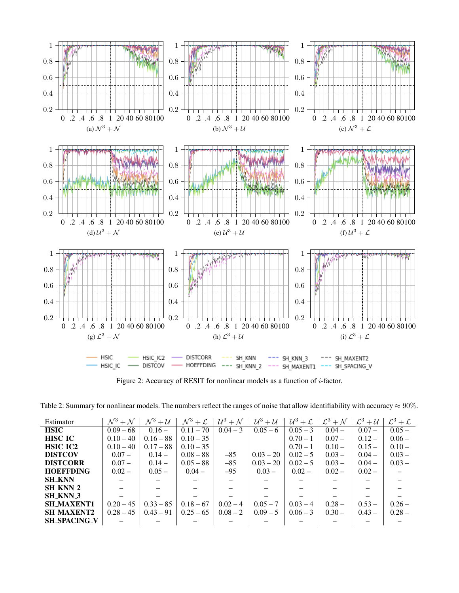<span id="page-6-0"></span>

Figure 2: Accuracy of RESIT for nonlinear models as a function of i-factor.

<span id="page-6-1"></span>Table 2: Summary for nonlinear models. The numbers reflect the ranges of noise that allow identifiability with accuracy  $\approx 90\%$ .

| Estimator           | $\mathcal{N}^3 + \mathcal{N}$ | $\mathcal{N}^3 + \mathcal{U}$ | $\mathcal{N}^3+\mathcal{L}$ | $\mathcal{U}^3 + \mathcal{N}$ | $\mathcal{U}^3+\mathcal{U}$ | $\mid \mathcal{U}^3+\mathcal{L} \mid$ | $\mathcal{L}^3+\mathcal{N}$ | $\mathcal{L}^3 + \mathcal{U}$ | $\mathcal{L}^3+\mathcal{L}$ |
|---------------------|-------------------------------|-------------------------------|-----------------------------|-------------------------------|-----------------------------|---------------------------------------|-----------------------------|-------------------------------|-----------------------------|
| <b>HSIC</b>         | $0.09 - 68$                   | $0.16 -$                      | $0.11 - 70$                 | $0.04 - 3$                    | $0.05 - 6$                  | $0.05 - 3$                            | $0.04 -$                    | $0.07 -$                      | $0.05 -$                    |
| <b>HISC_IC</b>      | $0.10 - 40$                   | $0.16 - 88$                   | $0.10 - 35$                 |                               |                             | $0.70 - 1$                            | $0.07 -$                    | $0.12 -$                      | $0.06 -$                    |
| HSIC_IC2            | $0.10 - 40$                   | $0.17 - 88$                   | $0.10 - 35$                 |                               |                             | $0.70 - 1$                            | $0.10 -$                    | $0.15 -$                      | $0.10 -$                    |
| <b>DISTCOV</b>      | $0.07 -$                      | $0.14 -$                      | $0.08 - 88$                 | $-85$                         | $0.03 - 20$                 | $0.02 - 5$                            | $0.03 -$                    | $0.04 -$                      | $0.03 -$                    |
| <b>DISTCORR</b>     | $0.07 -$                      | $0.14 -$                      | $0.05 - 88$                 | $-85$                         | $0.03 - 20$                 | $0.02 - 5$                            | $0.03 -$                    | $0.04 -$                      | $0.03 -$                    |
| <b>HOEFFDING</b>    | $0.02 -$                      | $0.05 -$                      | $0.04 -$                    | $-95$                         | $0.03 -$                    | $0.02 -$                              | $0.02 -$                    | $0.02 -$                      |                             |
| <b>SH_KNN</b>       |                               |                               |                             |                               |                             |                                       |                             |                               |                             |
| <b>SH_KNN_2</b>     |                               |                               |                             |                               |                             |                                       |                             |                               |                             |
| <b>SH KNN 3</b>     |                               |                               |                             |                               |                             |                                       |                             |                               |                             |
| <b>SH MAXENT1</b>   | $0.20 - 45$                   | $0.33 - 85$                   | $0.18 - 67$                 | $0.02 - 4$                    | $0.05 - 7$                  | $0.03 - 4$                            | $0.28 -$                    | $0.53 -$                      | $0.26 -$                    |
| <b>SH MAXENT2</b>   | $0.28 - 45$                   | $0.43 - 91$                   | $0.25 - 65$                 | $0.08 - 2$                    | $0.09 - 5$                  | $0.06 - 3$                            | $0.30 -$                    | $0.43 -$                      | $0.28 -$                    |
| <b>SH_SPACING_V</b> |                               |                               |                             |                               |                             |                                       |                             |                               |                             |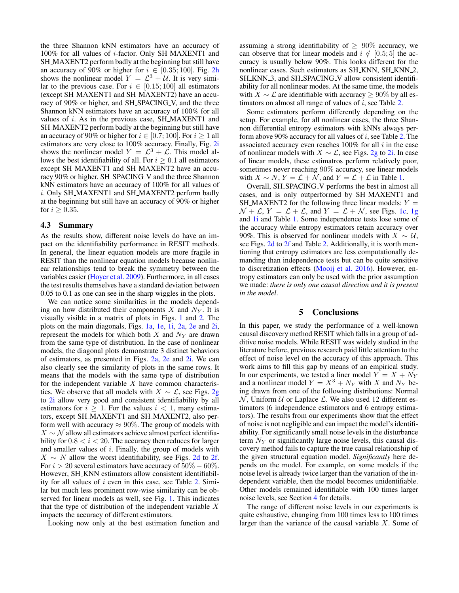the three Shannon kNN estimators have an accuracy of 100% for all values of i-factor. Only SH MAXENT1 and SH MAXENT2 perform badly at the beginning but still have an accuracy of 90% or higher for  $i \in [0.35; 100]$ . Fig. [2h](#page-6-0) shows the nonlinear model  $Y = \mathcal{L}^3 + \mathcal{U}$ . It is very similar to the previous case. For  $i \in [0.15; 100]$  all estimators (except SH MAXENT1 and SH MAXENT2) have an accuracy of 90% or higher, and SH\_SPACING\_V, and the three Shannon kNN estimators have an accuracy of 100% for all values of  $i$ . As in the previous case, SH\_MAXENT1 and SH MAXENT2 perform badly at the beginning but still have an accuracy of 90% or higher for  $i \in [0.7; 100]$ . For  $i \ge 1$  all estimators are very close to 100% accuracy. Finally, Fig. [2i](#page-6-0) shows the nonlinear model  $Y = \mathcal{L}^3 + \mathcal{L}$ . This model allows the best identifiability of all. For  $i \geq 0.1$  all estimators except SH\_MAXENT1 and SH\_MAXENT2 have an accuracy 90% or higher. SH\_SPACING\_V and the three Shannon kNN estimators have an accuracy of 100% for all values of i. Only SH MAXENT1 and SH MAXENT2 perform badly at the beginning but still have an accuracy of 90% or higher for  $i \geq 0.35$ .

#### 4.3 Summary

As the results show, different noise levels do have an impact on the identifiability performance in RESIT methods. In general, the linear equation models are more fragile in RESIT than the nonlinear equation models because nonlinear relationships tend to break the symmetry between the variables easier [\(Hoyer et al.](#page-8-6) [2009\)](#page-8-6). Furthermore, in all cases the test results themselves have a standard deviation between 0.05 to 0.1 as one can see in the sharp wiggles in the plots.

We can notice some similarities in the models depending on how distributed their components X and  $N_Y$ . It is visually visible in a matrix of plots in Figs. [1](#page-4-0) and [2.](#page-6-0) The plots on the main diagonals, Figs. [1a,](#page-4-0) [1e,](#page-4-0) [1i,](#page-4-0) [2a,](#page-6-0) [2e](#page-6-0) and [2i,](#page-6-0) represent the models for which both  $X$  and  $N_Y$  are drawn from the same type of distribution. In the case of nonlinear models, the diagonal plots demonstrate 3 distinct behaviors of estimators, as presented in Figs. [2a,](#page-6-0) [2e](#page-6-0) and [2i.](#page-6-0) We can also clearly see the similarity of plots in the same rows. It means that the models with the same type of distribution for the independent variable  $X$  have common characteristics. We observe that all models with  $X \sim \mathcal{L}$ , see Figs. [2g](#page-6-0) to [2i](#page-6-0) allow very good and consistent identifiability by all estimators for  $i \geq 1$ . For the values  $i < 1$ , many estimators, except SH MAXENT1 and SH MAXENT2, also perform well with accuracy  $\approx 90\%$ . The group of models with  $X \sim \mathcal{N}$  allow all estimators achieve almost perfect identifiability for  $0.8 < i < 20$ . The accuracy then reduces for larger and smaller values of  $i$ . Finally, the group of models with  $X \sim N$  allow the worst identifiability, see Figs. [2d](#page-6-0) to [2f.](#page-6-0) For  $i > 20$  several estimators have accuracy of  $50\% - 60\%$ . However, SH\_KNN estimators allow consistent identifiability for all values of  $i$  even in this case, see Table [2.](#page-6-1) Similar but much less prominent row-wise similarity can be observed for linear models as well, see Fig. [1.](#page-4-0) This indicates that the type of distribution of the independent variable  $X$ impacts the accuracy of different estimators.

Looking now only at the best estimation function and

assuming a strong identifiability of  $\geq 90\%$  accuracy, we can observe that for linear models and  $i \notin [0.5; 5]$  the accuracy is usually below 90%. This looks different for the nonlinear cases. Such estimators as SH\_KNN, SH\_KNN\_2, SH\_KNN\_3, and SH\_SPACING\_V allow consistent identifiability for all nonlinear modes. At the same time, the models with  $X \sim \mathcal{L}$  are identifiable with accuracy  $\geq 90\%$  by all estimators on almost all range of values of  $i$ , see Table [2.](#page-6-1)

Some estimators perform differently depending on the setup. For example, for all nonlinear cases, the three Shannon differential entropy estimators with kNNs always perform above  $90\%$  accuracy for all values of i, see Table [2.](#page-6-1) The associated accuracy even reaches  $100\%$  for all i in the case of nonlinear models with  $X \sim \mathcal{L}$ , see Figs. [2g](#page-6-0) to [2i.](#page-6-0) In case of linear models, these estimatros perform relatively poor, sometimes never reaching 90% accuracy, see linear models with  $X \sim N$ ,  $Y = \mathcal{L} + \overline{\mathcal{N}}$ , and  $Y = \mathcal{L} + \mathcal{L}$  in Table [1.](#page-4-1)

Overall, SH\_SPACING\_V performs the best in almost all cases, and is only outperformed by SH MAXENT1 and SH\_MAXENT2 for the following three linear models:  $Y =$  $\mathcal{N} + \mathcal{L}$ ,  $Y = \mathcal{L} + \mathcal{L}$ , and  $Y = \mathcal{L} + \mathcal{N}$ , see Figs. [1c,](#page-4-0) [1g](#page-4-0) and [1i](#page-4-0) and Table [1.](#page-4-1) Some independence tests lose some of the accuracy while entropy estimators retain accuracy over 90%. This is observed for nonlinear models with  $X \sim U$ , see Figs. [2d](#page-6-0) to [2f](#page-6-0) and Table [2.](#page-6-1) Additionally, it is worth mentioning that entropy estimators are less computationally demanding than independence tests but can be quite sensitive to discretization effects [\(Mooij et al.](#page-8-11) [2016\)](#page-8-11). However, entropy estimators can only be used with the prior assumption we made: *there is only one causal direction and it is present in the model*.

### 5 Conclusions

<span id="page-7-0"></span>In this paper, we study the performance of a well-known causal discovery method RESIT which falls in a group of additive noise models. While RESIT was widely studied in the literature before, previous research paid little attention to the effect of noise level on the accuracy of this approach. This work aims to fill this gap by means of an empirical study. In our experiments, we tested a liner model  $Y = X + N_Y$ and a nonlinear model  $Y = X^3 + N_Y$  with X and  $N_Y$  being drawn from one of the following distributions: Normal  $\mathcal N$ , Uniform  $\mathcal U$  or Laplace  $\mathcal L$ . We also used 12 different estimators (6 independence estimators and 6 entropy estimators). The results from our experiments show that the effect of noise is not negligible and can impact the model's identifiability. For significantly small noise levels in the disturbance term  $N_Y$  or significantly large noise levels, this causal discovery method fails to capture the true causal relationship of the given structural equation model. *Significantly* here depends on the model. For example, on some models if the noise level is already twice larger than the variation of the independent variable, then the model becomes unidentifiable. Other models remained identifiable with 100 times larger noise levels, see Section [4](#page-3-1) for details.

The range of different noise levels in our experiments is quite exhaustive, changing from 100 times less to 100 times larger than the variance of the causal variable  $X$ . Some of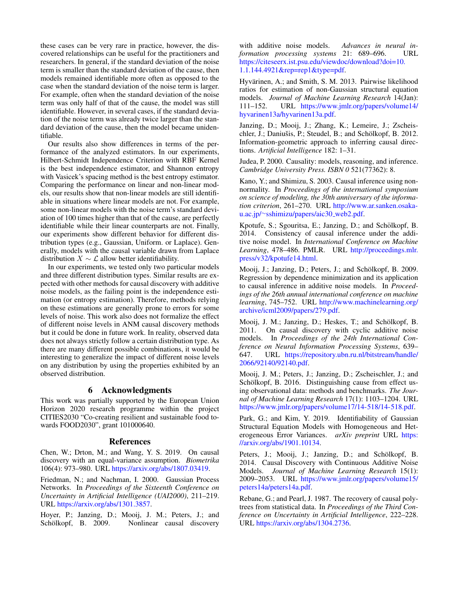these cases can be very rare in practice, however, the discovered relationships can be useful for the practitioners and researchers. In general, if the standard deviation of the noise term is smaller than the standard deviation of the cause, then models remained identifiable more often as opposed to the case when the standard deviation of the noise term is larger. For example, often when the standard deviation of the noise term was only half of that of the cause, the model was still identifiable. However, in several cases, if the standard deviation of the noise term was already twice larger than the standard deviation of the cause, then the model became unidentifiable.

Our results also show differences in terms of the performance of the analyzed estimators. In our experiments, Hilbert-Schmidt Independence Criterion with RBF Kernel is the best independence estimator, and Shannon entropy with Vasicek's spacing method is the best entropy estimator. Comparing the performance on linear and non-linear models, our results show that non-linear models are still identifiable in situations where linear models are not. For example, some non-linear models with the noise term's standard deviation of 100 times higher than that of the cause, are perfectly identifiable while their linear counterparts are not. Finally, our experiments show different behavior for different distribution types (e.g., Gaussian, Uniform. or Laplace). Generally, models with the causal variable drawn from Laplace distribution  $X \sim \mathcal{L}$  allow better identifiability.

In our experiments, we tested only two particular models and three different distribution types. Similar results are expected with other methods for causal discovery with additive noise models, as the failing point is the independence estimation (or entropy estimation). Therefore, methods relying on these estimations are generally prone to errors for some levels of noise. This work also does not formalize the effect of different noise levels in ANM causal discovery methods but it could be done in future work. In reality, observed data does not always strictly follow a certain distribution type. As there are many different possible combinations, it would be interesting to generalize the impact of different noise levels on any distribution by using the properties exhibited by an observed distribution.

## 6 Acknowledgments

This work was partially supported by the European Union Horizon 2020 research programme within the project CITIES2030 "Co-creating resilient and sustainable food towards FOOD2030", grant 101000640.

#### References

<span id="page-8-12"></span>Chen, W.; Drton, M.; and Wang, Y. S. 2019. On causal discovery with an equal-variance assumption. *Biometrika* 106(4): 973–980. URL [https://arxiv.org/abs/1807.03419.](https://arxiv.org/abs/1807.03419)

<span id="page-8-3"></span>Friedman, N.; and Nachman, I. 2000. Gaussian Process Networks. In *Proceedings of the Sixteenth Conference on Uncertainty in Artificial Intelligence (UAI2000)*, 211–219. URL [https://arxiv.org/abs/1301.3857.](https://arxiv.org/abs/1301.3857)

<span id="page-8-6"></span>Hoyer, P.; Janzing, D.; Mooij, J. M.; Peters, J.; and Schölkopf, B. 2009. Nonlinear causal discovery with additive noise models. *Advances in neural information processing systems* 21: 689–696. URL [https://citeseerx.ist.psu.edu/viewdoc/download?doi=10.](https://citeseerx.ist.psu.edu/viewdoc/download?doi=10.1.1.144.4921&rep=rep1&type=pdf) [1.1.144.4921&rep=rep1&type=pdf.](https://citeseerx.ist.psu.edu/viewdoc/download?doi=10.1.1.144.4921&rep=rep1&type=pdf)

<span id="page-8-9"></span>Hyvärinen, A.; and Smith, S. M. 2013. Pairwise likelihood ratios for estimation of non-Gaussian structural equation models. *Journal of Machine Learning Research* 14(Jan): 111–152. URL [https://www.jmlr.org/papers/volume14/](https://www.jmlr.org/papers/volume14/hyvarinen13a/hyvarinen13a.pdf) [hyvarinen13a/hyvarinen13a.pdf.](https://www.jmlr.org/papers/volume14/hyvarinen13a/hyvarinen13a.pdf)

<span id="page-8-2"></span>Janzing, D.; Mooij, J.; Zhang, K.; Lemeire, J.; Zscheischler, J.; Daniušis, P.; Steudel, B.; and Schölkopf, B. 2012. Information-geometric approach to inferring causal directions. *Artificial Intelligence* 182: 1–31.

<span id="page-8-1"></span>Judea, P. 2000. Causality: models, reasoning, and inference. *Cambridge University Press. ISBN 0* 521(77362): 8.

<span id="page-8-4"></span>Kano, Y.; and Shimizu, S. 2003. Causal inference using nonnormality. In *Proceedings of the international symposium on science of modeling, the 30th anniversary of the information criterion*, 261–270. URL [http://www.ar.sanken.osaka](http://www.ar.sanken.osaka-u.ac.jp/~sshimizu/papers/aic30_web2.pdf)u.ac.jp/<sup>∼</sup>[sshimizu/papers/aic30](http://www.ar.sanken.osaka-u.ac.jp/~sshimizu/papers/aic30_web2.pdf) web2.pdf.

<span id="page-8-5"></span>Kpotufe, S.; Sgouritsa, E.; Janzing, D.; and Schölkopf, B. 2014. Consistency of causal inference under the additive noise model. In *International Conference on Machine Learning*, 478–486. PMLR. URL [http://proceedings.mlr.](http://proceedings.mlr.press/v32/kpotufe14.html) [press/v32/kpotufe14.html.](http://proceedings.mlr.press/v32/kpotufe14.html)

<span id="page-8-7"></span>Mooij, J.; Janzing, D.; Peters, J.; and Schölkopf, B. 2009. Regression by dependence minimization and its application to causal inference in additive noise models. In *Proceedings of the 26th annual international conference on machine learning*, 745–752. URL [http://www.machinelearning.org/](http://www.machinelearning.org/archive/icml2009/papers/279.pdf) [archive/icml2009/papers/279.pdf.](http://www.machinelearning.org/archive/icml2009/papers/279.pdf)

<span id="page-8-8"></span>Mooij, J. M.; Janzing, D.; Heskes, T.; and Schölkopf, B. 2011. On causal discovery with cyclic additive noise models. In *Proceedings of the 24th International Conference on Neural Information Processing Systems*, 639– 647. URL [https://repository.ubn.ru.nl/bitstream/handle/](https://repository.ubn.ru.nl/bitstream/handle/2066/92140/92140.pdf) [2066/92140/92140.pdf.](https://repository.ubn.ru.nl/bitstream/handle/2066/92140/92140.pdf)

<span id="page-8-11"></span>Mooij, J. M.; Peters, J.; Janzing, D.; Zscheischler, J.; and Schölkopf, B. 2016. Distinguishing cause from effect using observational data: methods and benchmarks. *The Journal of Machine Learning Research* 17(1): 1103–1204. URL [https://www.jmlr.org/papers/volume17/14-518/14-518.pdf.](https://www.jmlr.org/papers/volume17/14-518/14-518.pdf)

<span id="page-8-13"></span>Park, G.; and Kim, Y. 2019. Identifiability of Gaussian Structural Equation Models with Homogeneous and Heterogeneous Error Variances. *arXiv preprint* URL [https:](https://arxiv.org/abs/1901.10134) [//arxiv.org/abs/1901.10134.](https://arxiv.org/abs/1901.10134)

<span id="page-8-10"></span>Peters, J.; Mooij, J.; Janzing, D.; and Schölkopf, B. 2014. Causal Discovery with Continuous Additive Noise Models. *Journal of Machine Learning Research* 15(1): 2009–2053. URL [https://www.jmlr.org/papers/volume15/](https://www.jmlr.org/papers/volume15/peters14a/peters14a.pdf) [peters14a/peters14a.pdf.](https://www.jmlr.org/papers/volume15/peters14a/peters14a.pdf)

<span id="page-8-0"></span>Rebane, G.; and Pearl, J. 1987. The recovery of causal polytrees from statistical data. In *Proceedings of the Third Conference on Uncertainty in Artificial Intelligence*, 222–228. URL [https://arxiv.org/abs/1304.2736.](https://arxiv.org/abs/1304.2736)